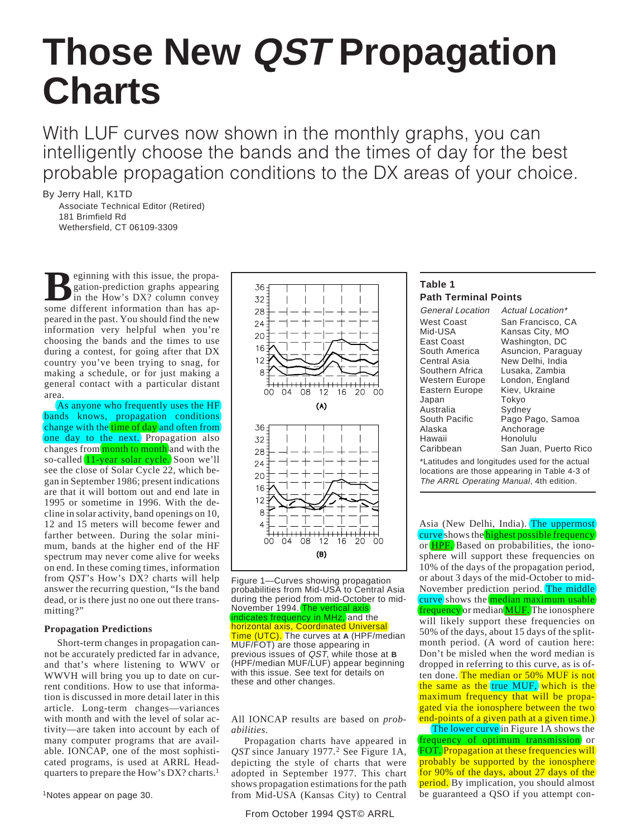# **Those New QST Propagation Charts**

With LUF curves now shown in the monthly graphs, you can intelligently choose the bands and the times of day for the best probable propagation conditions to the DX areas of your choice.

By Jerry Hall, K1TD

Associate Technical Editor (Retired) 181 Brimfield Rd Wethersfield, CT 06109-3309

**B**eginning with this issue, the propa-<br>gation-prediction graphs appearing<br>in the How's DX? column convey gation-prediction graphs appearing in the How's DX? column convey some different information than has appeared in the past. You should find the new information very helpful when you're choosing the bands and the times to use during a contest, for going after that DX country you've been trying to snag, for making a schedule, or for just making a general contact with a particular distant area.

As anyone who frequently uses the HF bands knows, propagation conditions change with the time of day and often from one day to the next. Propagation also changes from month to month and with the so-called  $(11$ -year solar cycle. Soon we'll see the close of Solar Cycle 22, which began in September 1986; present indications are that it will bottom out and end late in 1995 or sometime in 1996. With the decline in solar activity, band openings on 10, 12 and 15 meters will become fewer and farther between. During the solar minimum, bands at the higher end of the HF spectrum may never come alive for weeks on end. In these coming times, information from *QST*'s How's DX? charts will help answer the recurring question, "Is the band dead, or is there just no one out there transmitting?"

## **Propagation Predictions**

Short-term changes in propagation cannot be accurately predicted far in advance, and that's where listening to WWV or WWVH will bring you up to date on current conditions. How to use that information is discussed in more detail later in this article. Long-term changes—variances with month and with the level of solar activity—are taken into account by each of many computer programs that are available. IONCAP, one of the most sophisticated programs, is used at ARRL Headquarters to prepare the How's DX? charts.1





All IONCAP results are based on *probabilities*.

Propagation charts have appeared in *QST* since January 1977.<sup>2</sup> See Figure 1A, depicting the style of charts that were adopted in September 1977. This chart shows propagation estimations for the path from Mid-USA (Kansas City) to Central

## From October 1994 QST© ARRL

| Table 1                     |  |
|-----------------------------|--|
| <b>Path Terminal Points</b> |  |

Eastern Europe Japan Tokyo<br>Australia Sydnev Australia<br>South Pacific Alaska Anchorage<br>Hawaii Honolulu Hawaii Honolulu<br>Caribbean San Juar

General Location Actual Location\* West Coast San Francisco, CA<br>Mid-USA Kansas City, MO Mid-USA Kansas City, MO<br>East Coast Washington, DC East Coast **Mashington, DC**<br>South America Asuncion, Parag South America Asuncion, Paraguay<br>Central Asia Mew Delhi India Central Asia Mew Delhi, India<br>Southern Africa Lusaka, Zambia Southern Africa Lusaka, Zambia<br>Western Europe London, England London, England<br>Kiev, Ukraine South Pacific Pago Pago, Samoa<br>Alaska Panchorage San Juan, Puerto Rico

\*Latitudes and longitudes used for the actual locations are those appearing in Table 4-3 of The ARRL Operating Manual, 4th edition.

Asia (New Delhi, India). The uppermost (curve) shows the highest possible frequency or HPF. Based on probabilities, the ionosphere will support these frequencies on 10% of the days of the propagation period, or about 3 days of the mid-October to mid-November prediction period. The middle  $(curve)$ shows the *median maximum usable*)  $f$  frequency or median  $MUF$ . The ionosphere will likely support these frequencies on 50% of the days, about 15 days of the splitmonth period. (A word of caution here: Don't be misled when the word median is dropped in referring to this curve, as is often done. The median or 50% MUF is not the same as the true MUF, which is the maximum frequency that will be propagated via the ionosphere between the two end-points of a given path at a given time.)

The lower curve in Figure 1A shows the (frequency of optimum transmission) or FOT. Propagation at these frequencies will probably be supported by the ionosphere for 90% of the days, about 27 days of the period. By implication, you should almost be guaranteed a QSO if you attempt con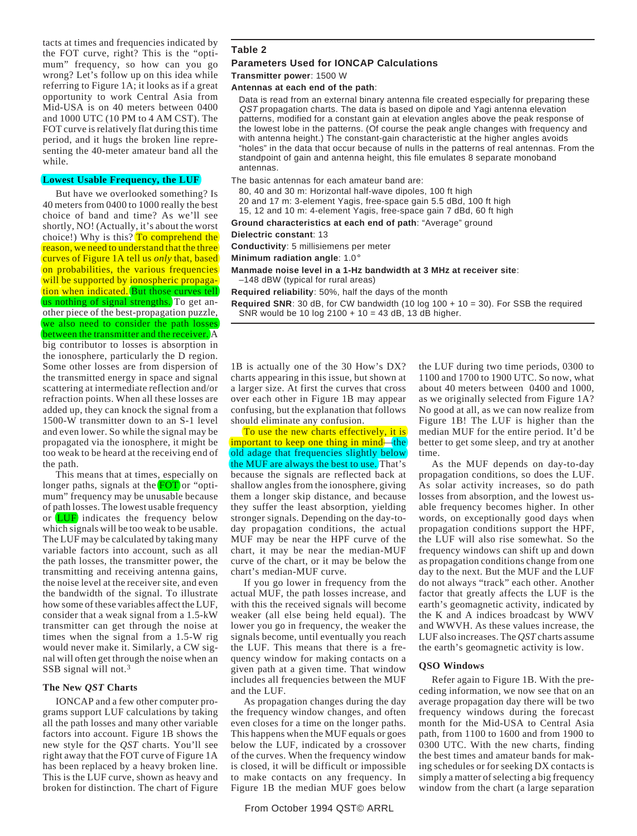tacts at times and frequencies indicated by the FOT curve, right? This is the "optimum" frequency, so how can you go wrong? Let's follow up on this idea while referring to Figure 1A; it looks as if a great opportunity to work Central Asia from Mid-USA is on 40 meters between 0400 and 1000 UTC (10 PM to 4 AM CST). The FOT curve is relatively flat during this time period, and it hugs the broken line representing the 40-meter amateur band all the while.

#### **Lowest Usable Frequency, the LUF**

But have we overlooked something? Is 40 meters from 0400 to 1000 really the best choice of band and time? As we'll see shortly, NO! (Actually, it's about the worst choice!) Why is this? To comprehend the reason, we need to understand that the three curves of Figure 1A tell us *only* that, based on probabilities, the various frequencies will be supported by ionospheric propagation when indicated. But those curves tell us nothing of signal strengths. To get another piece of the best-propagation puzzle, we also need to consider the path losses between the transmitter and the receiver. A big contributor to losses is absorption in the ionosphere, particularly the D region. Some other losses are from dispersion of the transmitted energy in space and signal scattering at intermediate reflection and/or refraction points. When all these losses are added up, they can knock the signal from a 1500-W transmitter down to an S-1 level and even lower. So while the signal may be propagated via the ionosphere, it might be too weak to be heard at the receiving end of the path.

This means that at times, especially on longer paths, signals at the  $($ FOT $)$ or "optimum" frequency may be unusable because of path losses. The lowest usable frequency or  $(LUF)$  indicates the frequency below which signals will be too weak to be usable. The LUF may be calculated by taking many variable factors into account, such as all the path losses, the transmitter power, the transmitting and receiving antenna gains, the noise level at the receiver site, and even the bandwidth of the signal. To illustrate how some of these variables affect the LUF, consider that a weak signal from a 1.5-kW transmitter can get through the noise at times when the signal from a 1.5-W rig would never make it. Similarly, a CW signal will often get through the noise when an SSB signal will not.3

## **The New** *QST* **Charts**

IONCAP and a few other computer programs support LUF calculations by taking all the path losses and many other variable factors into account. Figure 1B shows the new style for the *QST* charts. You'll see right away that the FOT curve of Figure 1A has been replaced by a heavy broken line. This is the LUF curve, shown as heavy and broken for distinction. The chart of Figure

## **Table 2**

#### **Parameters Used for IONCAP Calculations**

**Transmitter power**: 1500 W

#### **Antennas at each end of the path**:

Data is read from an external binary antenna file created especially for preparing these QST propagation charts. The data is based on dipole and Yagi antenna elevation patterns, modified for a constant gain at elevation angles above the peak response of the lowest lobe in the patterns. (Of course the peak angle changes with frequency and with antenna height.) The constant-gain characteristic at the higher angles avoids "holes" in the data that occur because of nulls in the patterns of real antennas. From the standpoint of gain and antenna height, this file emulates 8 separate monoband antennas.

## The basic antennas for each amateur band are:

- 80, 40 and 30 m: Horizontal half-wave dipoles, 100 ft high
- 20 and 17 m: 3-element Yagis, free-space gain 5.5 dBd, 100 ft high
- 15, 12 and 10 m: 4-element Yagis, free-space gain 7 dBd, 60 ft high
- **Ground characteristics at each end of path**: "Average" ground

#### **Dielectric constant**: 13

**Conductivity**: 5 millisiemens per meter

#### **Minimum radiation angle**: 1.0°

- **Manmade noise level in a 1-Hz bandwidth at 3 MHz at receiver site**: –148 dBW (typical for rural areas)
- **Required reliability**: 50%, half the days of the month

**Required SNR**: 30 dB, for CW bandwidth (10 log  $100 + 10 = 30$ ). For SSB the required SNR would be 10 log 2100 + 10 = 43 dB, 13 dB higher.

1B is actually one of the 30 How's DX? charts appearing in this issue, but shown at a larger size. At first the curves that cross over each other in Figure 1B may appear confusing, but the explanation that follows should eliminate any confusion.

To use the new charts effectively, it is  $($ important to keep one thing in mind $)$ — $($ the $)$ old adage that frequencies slightly below the MUF are always the best to use. That's because the signals are reflected back at shallow angles from the ionosphere, giving them a longer skip distance, and because they suffer the least absorption, yielding stronger signals. Depending on the day-today propagation conditions, the actual MUF may be near the HPF curve of the chart, it may be near the median-MUF curve of the chart, or it may be below the chart's median-MUF curve.

If you go lower in frequency from the actual MUF, the path losses increase, and with this the received signals will become weaker (all else being held equal). The lower you go in frequency, the weaker the signals become, until eventually you reach the LUF. This means that there is a frequency window for making contacts on a given path at a given time. That window includes all frequencies between the MUF and the LUF.

As propagation changes during the day the frequency window changes, and often even closes for a time on the longer paths. This happens when the MUF equals or goes below the LUF, indicated by a crossover of the curves. When the frequency window is closed, it will be difficult or impossible to make contacts on any frequency. In Figure 1B the median MUF goes below

the LUF during two time periods, 0300 to 1100 and 1700 to 1900 UTC. So now, what about 40 meters between 0400 and 1000, as we originally selected from Figure 1A? No good at all, as we can now realize from Figure 1B! The LUF is higher than the median MUF for the entire period. It'd be better to get some sleep, and try at another time.

As the MUF depends on day-to-day propagation conditions, so does the LUF. As solar activity increases, so do path losses from absorption, and the lowest usable frequency becomes higher. In other words, on exceptionally good days when propagation conditions support the HPF, the LUF will also rise somewhat. So the frequency windows can shift up and down as propagation conditions change from one day to the next. But the MUF and the LUF do not always "track" each other. Another factor that greatly affects the LUF is the earth's geomagnetic activity, indicated by the K and A indices broadcast by WWV and WWVH. As these values increase, the LUF also increases. The *QST* charts assume the earth's geomagnetic activity is low.

## **QSO Windows**

Refer again to Figure 1B. With the preceding information, we now see that on an average propagation day there will be two frequency windows during the forecast month for the Mid-USA to Central Asia path, from 1100 to 1600 and from 1900 to 0300 UTC. With the new charts, finding the best times and amateur bands for making schedules or for seeking DX contacts is simply a matter of selecting a big frequency window from the chart (a large separation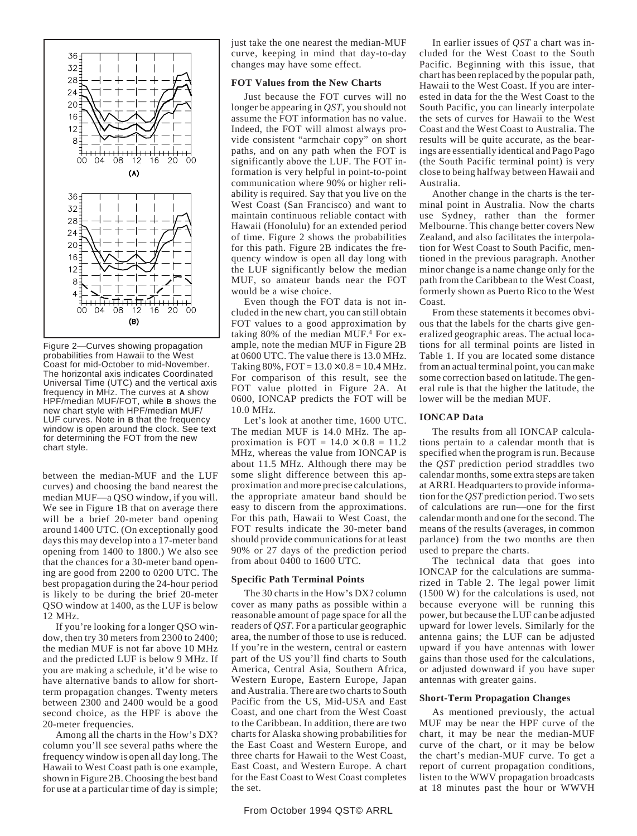

Figure 2—Curves showing propagation probabilities from Hawaii to the West Coast for mid-October to mid-November. The horizontal axis indicates Coordinated Universal Time (UTC) and the vertical axis frequency in MHz. The curves at **A** show HPF/median MUF/FOT, while **B** shows the new chart style with HPF/median MUF/ LUF curves. Note in **B** that the frequency window is open around the clock. See text for determining the FOT from the new chart style.

between the median-MUF and the LUF curves) and choosing the band nearest the median MUF—a QSO window, if you will. We see in Figure 1B that on average there will be a brief 20-meter band opening around 1400 UTC. (On exceptionally good days this may develop into a 17-meter band opening from 1400 to 1800.) We also see that the chances for a 30-meter band opening are good from 2200 to 0200 UTC. The best propagation during the 24-hour period is likely to be during the brief 20-meter QSO window at 1400, as the LUF is below 12 MHz.

If you're looking for a longer QSO window, then try 30 meters from 2300 to 2400; the median MUF is not far above 10 MHz and the predicted LUF is below 9 MHz. If you are making a schedule, it'd be wise to have alternative bands to allow for shortterm propagation changes. Twenty meters between 2300 and 2400 would be a good second choice, as the HPF is above the 20-meter frequencies.

Among all the charts in the How's DX? column you'll see several paths where the frequency window is open all day long. The Hawaii to West Coast path is one example, shown in Figure 2B. Choosing the best band for use at a particular time of day is simple; just take the one nearest the median-MUF curve, keeping in mind that day-to-day changes may have some effect.

## **FOT Values from the New Charts**

Just because the FOT curves will no longer be appearing in *QST*, you should not assume the FOT information has no value. Indeed, the FOT will almost always provide consistent "armchair copy" on short paths, and on any path when the FOT is significantly above the LUF. The FOT information is very helpful in point-to-point communication where 90% or higher reliability is required. Say that you live on the West Coast (San Francisco) and want to maintain continuous reliable contact with Hawaii (Honolulu) for an extended period of time. Figure 2 shows the probabilities for this path. Figure 2B indicates the frequency window is open all day long with the LUF significantly below the median MUF, so amateur bands near the FOT would be a wise choice.

Even though the FOT data is not included in the new chart, you can still obtain FOT values to a good approximation by taking 80% of the median MUF.4 For example, note the median MUF in Figure 2B at 0600 UTC. The value there is 13.0 MHz. Taking  $80\%$ ,  $FOT = 13.0 \times 0.8 = 10.4$  MHz. For comparison of this result, see the FOT value plotted in Figure 2A. At 0600, IONCAP predicts the FOT will be 10.0 MHz.

Let's look at another time, 1600 UTC. The median MUF is 14.0 MHz. The approximation is FOT =  $14.0 \times 0.8 = 11.2$ MHz, whereas the value from IONCAP is about 11.5 MHz. Although there may be some slight difference between this approximation and more precise calculations, the appropriate amateur band should be easy to discern from the approximations. For this path, Hawaii to West Coast, the FOT results indicate the 30-meter band should provide communications for at least 90% or 27 days of the prediction period from about 0400 to 1600 UTC.

## **Specific Path Terminal Points**

The 30 charts in the How's DX? column cover as many paths as possible within a reasonable amount of page space for all the readers of *QST.* For a particular geographic area, the number of those to use is reduced. If you're in the western, central or eastern part of the US you'll find charts to South America, Central Asia, Southern Africa, Western Europe, Eastern Europe, Japan and Australia. There are two charts to South Pacific from the US, Mid-USA and East Coast, and one chart from the West Coast to the Caribbean. In addition, there are two charts for Alaska showing probabilities for the East Coast and Western Europe, and three charts for Hawaii to the West Coast, East Coast, and Western Europe. A chart for the East Coast to West Coast completes the set.

Pacific. Beginning with this issue, that chart has been replaced by the popular path, Hawaii to the West Coast. If you are interested in data for the the West Coast to the South Pacific, you can linearly interpolate the sets of curves for Hawaii to the West Coast and the West Coast to Australia. The results will be quite accurate, as the bearings are essentially identical and Pago Pago (the South Pacific terminal point) is very close to being halfway between Hawaii and Australia.

In earlier issues of *QST* a chart was included for the West Coast to the South

Another change in the charts is the terminal point in Australia. Now the charts use Sydney, rather than the former Melbourne. This change better covers New Zealand, and also facilitates the interpolation for West Coast to South Pacific, mentioned in the previous paragraph. Another minor change is a name change only for the path from the Caribbean to the West Coast, formerly shown as Puerto Rico to the West Coast.

From these statements it becomes obvious that the labels for the charts give generalized geographic areas. The actual locations for all terminal points are listed in Table 1. If you are located some distance from an actual terminal point, you can make some correction based on latitude. The general rule is that the higher the latitude, the lower will be the median MUF.

## **IONCAP Data**

The results from all IONCAP calculations pertain to a calendar month that is specified when the program is run. Because the *QST* prediction period straddles two calendar months, some extra steps are taken at ARRL Headquarters to provide information for the *QST* prediction period. Two sets of calculations are run—one for the first calendar month and one for the second. The means of the results (averages, in common parlance) from the two months are then used to prepare the charts.

The technical data that goes into IONCAP for the calculations are summarized in Table 2. The legal power limit (1500 W) for the calculations is used, not because everyone will be running this power, but because the LUF can be adjusted upward for lower levels. Similarly for the antenna gains; the LUF can be adjusted upward if you have antennas with lower gains than those used for the calculations, or adjusted downward if you have super antennas with greater gains.

#### **Short-Term Propagation Changes**

As mentioned previously, the actual MUF may be near the HPF curve of the chart, it may be near the median-MUF curve of the chart, or it may be below the chart's median-MUF curve. To get a report of current propagation conditions, listen to the WWV propagation broadcasts at 18 minutes past the hour or WWVH